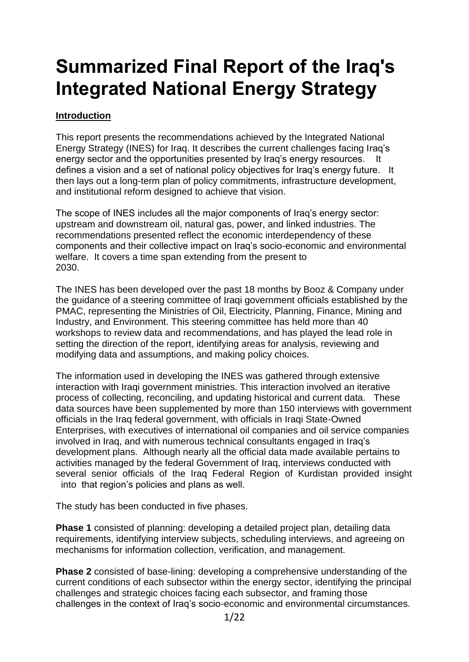# **Summarized Final Report of the Iraq's Integrated National Energy Strategy**

# **Introduction**

This report presents the recommendations achieved by the Integrated National Energy Strategy (INES) for Iraq. It describes the current challenges facing Iraq's energy sector and the opportunities presented by Iraq's energy resources. It defines a vision and a set of national policy objectives for Iraq's energy future. It then lays out a long-term plan of policy commitments, infrastructure development, and institutional reform designed to achieve that vision.

The scope of INES includes all the major components of Iraq's energy sector: upstream and downstream oil, natural gas, power, and linked industries. The recommendations presented reflect the economic interdependency of these components and their collective impact on Iraq's socio-economic and environmental welfare. It covers a time span extending from the present to 2030.

The INES has been developed over the past 18 months by Booz & Company under the guidance of a steering committee of Iraqi government officials established by the PMAC, representing the Ministries of Oil, Electricity, Planning, Finance, Mining and Industry, and Environment. This steering committee has held more than 40 workshops to review data and recommendations, and has played the lead role in setting the direction of the report, identifying areas for analysis, reviewing and modifying data and assumptions, and making policy choices.

The information used in developing the INES was gathered through extensive interaction with Iraqi government ministries. This interaction involved an iterative process of collecting, reconciling, and updating historical and current data. These data sources have been supplemented by more than 150 interviews with government officials in the Iraq federal government, with officials in Iraqi State-Owned Enterprises, with executives of international oil companies and oil service companies involved in Iraq, and with numerous technical consultants engaged in Iraq's development plans. Although nearly all the official data made available pertains to activities managed by the federal Government of Iraq, interviews conducted with several senior officials of the Iraq Federal Region of Kurdistan provided insight into that region's policies and plans as well.

The study has been conducted in five phases.

**Phase 1** consisted of planning: developing a detailed project plan, detailing data requirements, identifying interview subjects, scheduling interviews, and agreeing on mechanisms for information collection, verification, and management.

**Phase 2** consisted of base-lining: developing a comprehensive understanding of the current conditions of each subsector within the energy sector, identifying the principal challenges and strategic choices facing each subsector, and framing those challenges in the context of Iraq's socio-economic and environmental circumstances.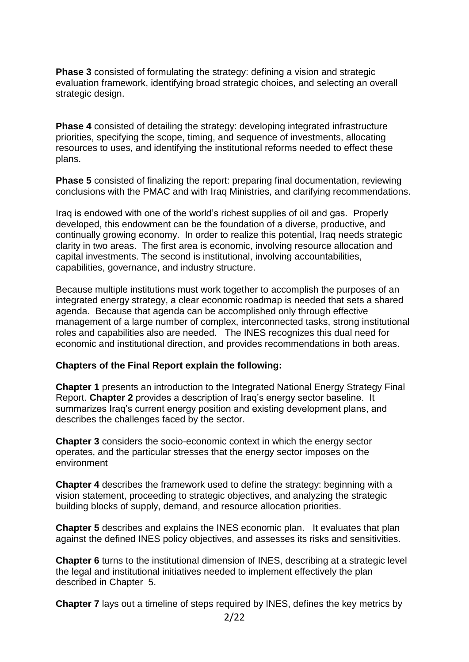**Phase 3** consisted of formulating the strategy: defining a vision and strategic evaluation framework, identifying broad strategic choices, and selecting an overall strategic design.

**Phase 4** consisted of detailing the strategy: developing integrated infrastructure priorities, specifying the scope, timing, and sequence of investments, allocating resources to uses, and identifying the institutional reforms needed to effect these plans.

**Phase 5** consisted of finalizing the report: preparing final documentation, reviewing conclusions with the PMAC and with Iraq Ministries, and clarifying recommendations.

Iraq is endowed with one of the world's richest supplies of oil and gas. Properly developed, this endowment can be the foundation of a diverse, productive, and continually growing economy. In order to realize this potential, Iraq needs strategic clarity in two areas. The first area is economic, involving resource allocation and capital investments. The second is institutional, involving accountabilities, capabilities, governance, and industry structure.

Because multiple institutions must work together to accomplish the purposes of an integrated energy strategy, a clear economic roadmap is needed that sets a shared agenda. Because that agenda can be accomplished only through effective management of a large number of complex, interconnected tasks, strong institutional roles and capabilities also are needed. The INES recognizes this dual need for economic and institutional direction, and provides recommendations in both areas.

#### **Chapters of the Final Report explain the following:**

**Chapter 1** presents an introduction to the Integrated National Energy Strategy Final Report. **Chapter 2** provides a description of Iraq's energy sector baseline. It summarizes Iraq's current energy position and existing development plans, and describes the challenges faced by the sector.

**Chapter 3** considers the socio-economic context in which the energy sector operates, and the particular stresses that the energy sector imposes on the environment

**Chapter 4** describes the framework used to define the strategy: beginning with a vision statement, proceeding to strategic objectives, and analyzing the strategic building blocks of supply, demand, and resource allocation priorities.

**Chapter 5** describes and explains the INES economic plan. It evaluates that plan against the defined INES policy objectives, and assesses its risks and sensitivities.

**Chapter 6** turns to the institutional dimension of INES, describing at a strategic level the legal and institutional initiatives needed to implement effectively the plan described in Chapter 5.

**Chapter 7** lays out a timeline of steps required by INES, defines the key metrics by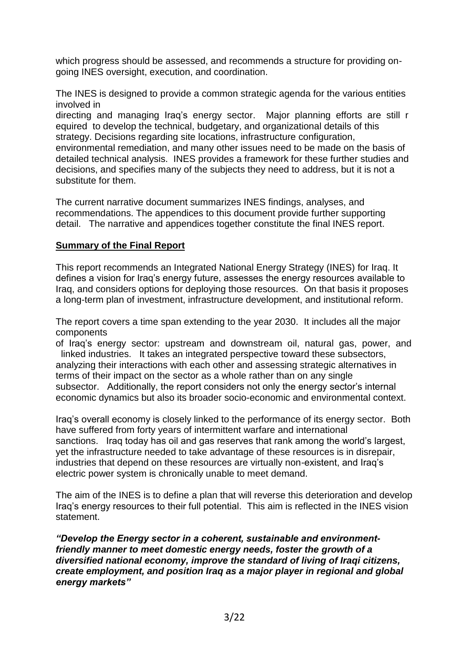which progress should be assessed, and recommends a structure for providing ongoing INES oversight, execution, and coordination.

The INES is designed to provide a common strategic agenda for the various entities involved in

directing and managing Iraq's energy sector. Major planning efforts are still r equired to develop the technical, budgetary, and organizational details of this strategy. Decisions regarding site locations, infrastructure configuration, environmental remediation, and many other issues need to be made on the basis of detailed technical analysis. INES provides a framework for these further studies and decisions, and specifies many of the subjects they need to address, but it is not a substitute for them.

The current narrative document summarizes INES findings, analyses, and recommendations. The appendices to this document provide further supporting detail. The narrative and appendices together constitute the final INES report.

## **Summary of the Final Report**

This report recommends an Integrated National Energy Strategy (INES) for Iraq. It defines a vision for Iraq's energy future, assesses the energy resources available to Iraq, and considers options for deploying those resources. On that basis it proposes a long-term plan of investment, infrastructure development, and institutional reform.

The report covers a time span extending to the year 2030. It includes all the major components

of Iraq's energy sector: upstream and downstream oil, natural gas, power, and linked industries. It takes an integrated perspective toward these subsectors, analyzing their interactions with each other and assessing strategic alternatives in terms of their impact on the sector as a whole rather than on any single subsector. Additionally, the report considers not only the energy sector's internal economic dynamics but also its broader socio-economic and environmental context.

Iraq's overall economy is closely linked to the performance of its energy sector. Both have suffered from forty years of intermittent warfare and international sanctions. Iraq today has oil and gas reserves that rank among the world's largest, yet the infrastructure needed to take advantage of these resources is in disrepair, industries that depend on these resources are virtually non-existent, and Iraq's electric power system is chronically unable to meet demand.

The aim of the INES is to define a plan that will reverse this deterioration and develop Iraq's energy resources to their full potential. This aim is reflected in the INES vision statement.

*"Develop the Energy sector in a coherent, sustainable and environmentfriendly manner to meet domestic energy needs, foster the growth of a diversified national economy, improve the standard of living of Iraqi citizens, create employment, and position Iraq as a major player in regional and global energy markets"*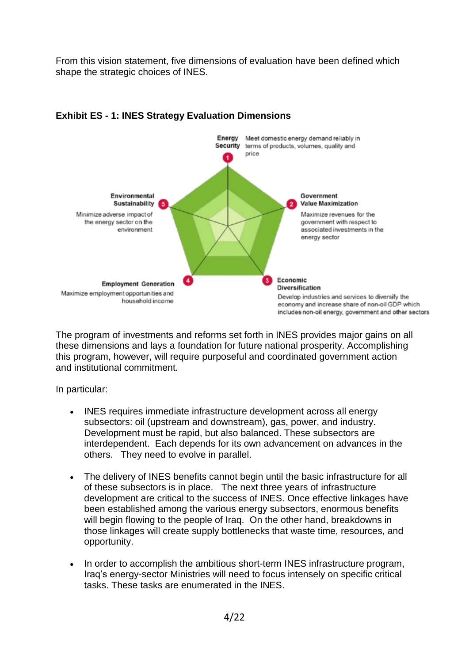From this vision statement, five dimensions of evaluation have been defined which shape the strategic choices of INES.



# **Exhibit ES - 1: INES Strategy Evaluation Dimensions**

The program of investments and reforms set forth in INES provides major gains on all these dimensions and lays a foundation for future national prosperity. Accomplishing this program, however, will require purposeful and coordinated government action and institutional commitment.

In particular:

- INES requires immediate infrastructure development across all energy subsectors: oil (upstream and downstream), gas, power, and industry. Development must be rapid, but also balanced. These subsectors are interdependent. Each depends for its own advancement on advances in the others. They need to evolve in parallel.
- The delivery of INES benefits cannot begin until the basic infrastructure for all of these subsectors is in place. The next three years of infrastructure development are critical to the success of INES. Once effective linkages have been established among the various energy subsectors, enormous benefits will begin flowing to the people of Iraq. On the other hand, breakdowns in those linkages will create supply bottlenecks that waste time, resources, and opportunity.
- In order to accomplish the ambitious short-term INES infrastructure program, Iraq's energy-sector Ministries will need to focus intensely on specific critical tasks. These tasks are enumerated in the INES.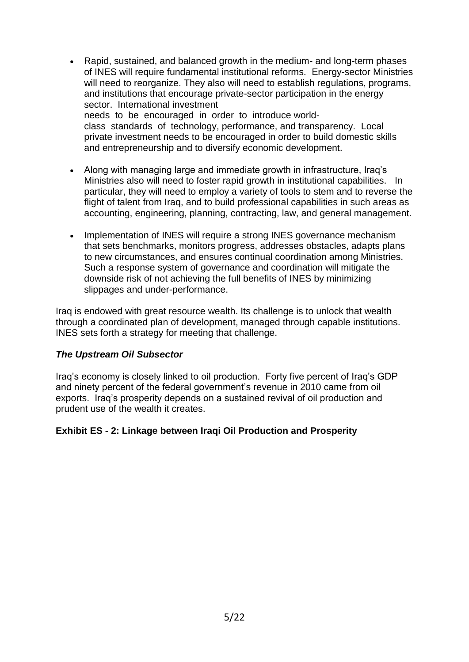- Rapid, sustained, and balanced growth in the medium- and long-term phases of INES will require fundamental institutional reforms. Energy-sector Ministries will need to reorganize. They also will need to establish regulations, programs, and institutions that encourage private-sector participation in the energy sector. International investment needs to be encouraged in order to introduce worldclass standards of technology, performance, and transparency. Local private investment needs to be encouraged in order to build domestic skills and entrepreneurship and to diversify economic development.
- Along with managing large and immediate growth in infrastructure, Iraq's Ministries also will need to foster rapid growth in institutional capabilities. In particular, they will need to employ a variety of tools to stem and to reverse the flight of talent from Iraq, and to build professional capabilities in such areas as accounting, engineering, planning, contracting, law, and general management.
- Implementation of INES will require a strong INES governance mechanism that sets benchmarks, monitors progress, addresses obstacles, adapts plans to new circumstances, and ensures continual coordination among Ministries. Such a response system of governance and coordination will mitigate the downside risk of not achieving the full benefits of INES by minimizing slippages and under-performance.

Iraq is endowed with great resource wealth. Its challenge is to unlock that wealth through a coordinated plan of development, managed through capable institutions. INES sets forth a strategy for meeting that challenge.

## *The Upstream Oil Subsector*

Iraq's economy is closely linked to oil production. Forty five percent of Iraq's GDP and ninety percent of the federal government's revenue in 2010 came from oil exports. Iraq's prosperity depends on a sustained revival of oil production and prudent use of the wealth it creates.

## **Exhibit ES - 2: Linkage between Iraqi Oil Production and Prosperity**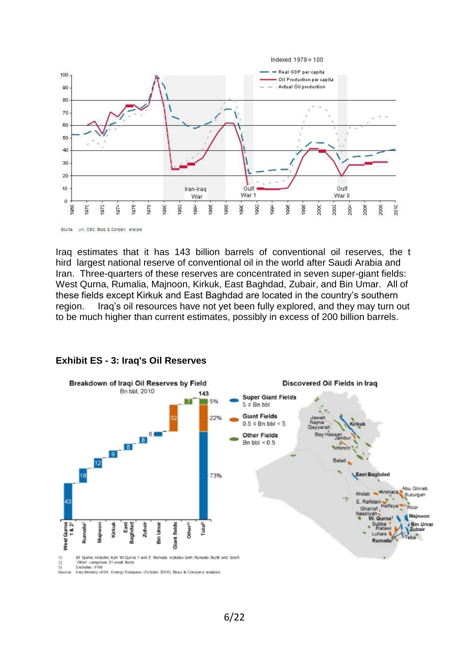

Iraq estimates that it has 143 billion barrels of conventional oil reserves, the t hird largest national reserve of conventional oil in the world after Saudi Arabia and Iran. Three-quarters of these reserves are concentrated in seven super-giant fields: West Qurna, Rumalia, Majnoon, Kirkuk, East Baghdad, Zubair, and Bin Umar. All of these fields except Kirkuk and East Baghdad are located in the country's southern region. Iraq's oil resources have not yet been fully explored, and they may turn out to be much higher than current estimates, possibly in excess of 200 billion barrels.



#### **Exhibit ES - 3: Iraq's Oil Reserves**

Iraq Ministry of Oil, Energy Compass (October 2010); Booz & Company analysis Source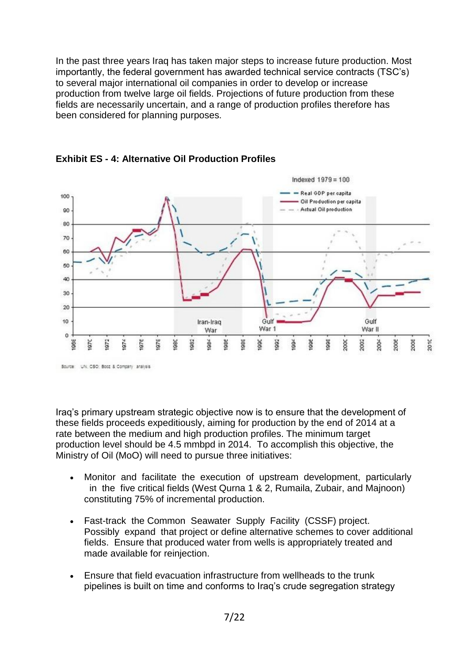In the past three years Iraq has taken major steps to increase future production. Most importantly, the federal government has awarded technical service contracts (TSC's) to several major international oil companies in order to develop or increase production from twelve large oil fields. Projections of future production from these fields are necessarily uncertain, and a range of production profiles therefore has been considered for planning purposes.



**Exhibit ES - 4: Alternative Oil Production Profiles**

Iraq's primary upstream strategic objective now is to ensure that the development of these fields proceeds expeditiously, aiming for production by the end of 2014 at a rate between the medium and high production profiles. The minimum target production level should be 4.5 mmbpd in 2014. To accomplish this objective, the Ministry of Oil (MoO) will need to pursue three initiatives:

- Monitor and facilitate the execution of upstream development, particularly in the five critical fields (West Qurna 1 & 2, Rumaila, Zubair, and Majnoon) constituting 75% of incremental production.
- Fast-track the Common Seawater Supply Facility (CSSF) project. Possibly expand that project or define alternative schemes to cover additional fields. Ensure that produced water from wells is appropriately treated and made available for reinjection.
- Ensure that field evacuation infrastructure from wellheads to the trunk pipelines is built on time and conforms to Iraq's crude segregation strategy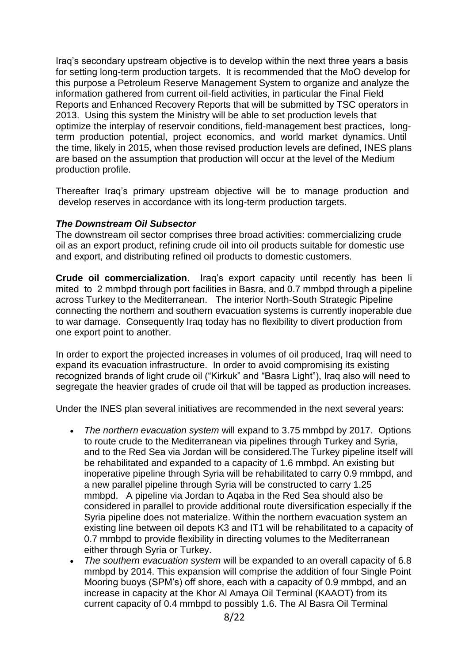Iraq's secondary upstream objective is to develop within the next three years a basis for setting long-term production targets. It is recommended that the MoO develop for this purpose a Petroleum Reserve Management System to organize and analyze the information gathered from current oil-field activities, in particular the Final Field Reports and Enhanced Recovery Reports that will be submitted by TSC operators in 2013. Using this system the Ministry will be able to set production levels that optimize the interplay of reservoir conditions, field-management best practices, longterm production potential, project economics, and world market dynamics. Until the time, likely in 2015, when those revised production levels are defined, INES plans are based on the assumption that production will occur at the level of the Medium production profile.

Thereafter Iraq's primary upstream objective will be to manage production and develop reserves in accordance with its long-term production targets.

#### *The Downstream Oil Subsector*

The downstream oil sector comprises three broad activities: commercializing crude oil as an export product, refining crude oil into oil products suitable for domestic use and export, and distributing refined oil products to domestic customers.

**Crude oil commercialization**. Iraq's export capacity until recently has been li mited to 2 mmbpd through port facilities in Basra, and 0.7 mmbpd through a pipeline across Turkey to the Mediterranean. The interior North-South Strategic Pipeline connecting the northern and southern evacuation systems is currently inoperable due to war damage. Consequently Iraq today has no flexibility to divert production from one export point to another.

In order to export the projected increases in volumes of oil produced, Iraq will need to expand its evacuation infrastructure. In order to avoid compromising its existing recognized brands of light crude oil ("Kirkuk" and "Basra Light"), Iraq also will need to segregate the heavier grades of crude oil that will be tapped as production increases.

Under the INES plan several initiatives are recommended in the next several years:

- *The northern evacuation system* will expand to 3.75 mmbpd by 2017. Options to route crude to the Mediterranean via pipelines through Turkey and Syria, and to the Red Sea via Jordan will be considered.The Turkey pipeline itself will be rehabilitated and expanded to a capacity of 1.6 mmbpd. An existing but inoperative pipeline through Syria will be rehabilitated to carry 0.9 mmbpd, and a new parallel pipeline through Syria will be constructed to carry 1.25 mmbpd. A pipeline via Jordan to Aqaba in the Red Sea should also be considered in parallel to provide additional route diversification especially if the Syria pipeline does not materialize. Within the northern evacuation system an existing line between oil depots K3 and IT1 will be rehabilitated to a capacity of 0.7 mmbpd to provide flexibility in directing volumes to the Mediterranean either through Syria or Turkey.
- *The southern evacuation system* will be expanded to an overall capacity of 6.8 mmbpd by 2014. This expansion will comprise the addition of four Single Point Mooring buoys (SPM's) off shore, each with a capacity of 0.9 mmbpd, and an increase in capacity at the Khor Al Amaya Oil Terminal (KAAOT) from its current capacity of 0.4 mmbpd to possibly 1.6. The Al Basra Oil Terminal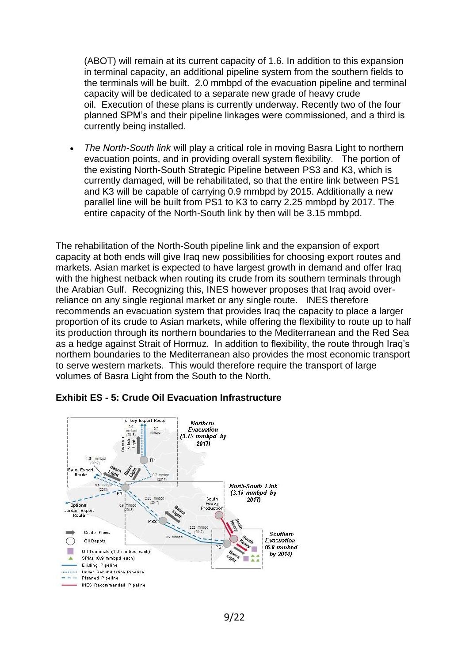(ABOT) will remain at its current capacity of 1.6. In addition to this expansion in terminal capacity, an additional pipeline system from the southern fields to the terminals will be built. 2.0 mmbpd of the evacuation pipeline and terminal capacity will be dedicated to a separate new grade of heavy crude oil. Execution of these plans is currently underway. Recently two of the four planned SPM's and their pipeline linkages were commissioned, and a third is currently being installed.

 *The North-South link* will play a critical role in moving Basra Light to northern evacuation points, and in providing overall system flexibility. The portion of the existing North-South Strategic Pipeline between PS3 and K3, which is currently damaged, will be rehabilitated, so that the entire link between PS1 and K3 will be capable of carrying 0.9 mmbpd by 2015. Additionally a new parallel line will be built from PS1 to K3 to carry 2.25 mmbpd by 2017. The entire capacity of the North-South link by then will be 3.15 mmbpd.

The rehabilitation of the North-South pipeline link and the expansion of export capacity at both ends will give Iraq new possibilities for choosing export routes and markets. Asian market is expected to have largest growth in demand and offer Iraq with the highest netback when routing its crude from its southern terminals through the Arabian Gulf. Recognizing this, INES however proposes that Iraq avoid overreliance on any single regional market or any single route. INES therefore recommends an evacuation system that provides Iraq the capacity to place a larger proportion of its crude to Asian markets, while offering the flexibility to route up to half its production through its northern boundaries to the Mediterranean and the Red Sea as a hedge against Strait of Hormuz. In addition to flexibility, the route through Iraq's northern boundaries to the Mediterranean also provides the most economic transport to serve western markets. This would therefore require the transport of large volumes of Basra Light from the South to the North.



## **Exhibit ES - 5: Crude Oil Evacuation Infrastructure**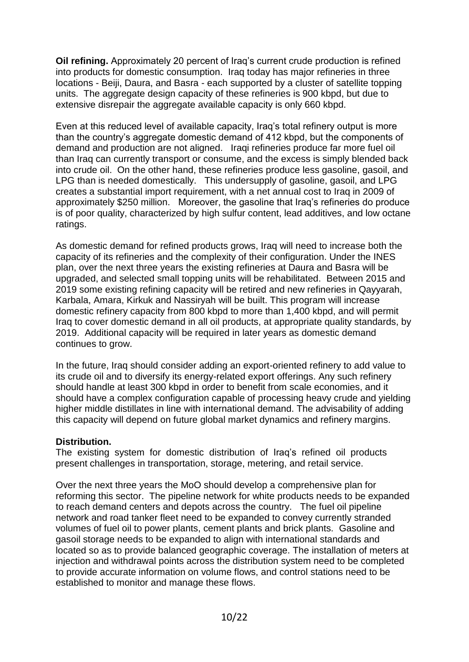**Oil refining.** Approximately 20 percent of Iraq's current crude production is refined into products for domestic consumption. Iraq today has major refineries in three locations - Beiji, Daura, and Basra - each supported by a cluster of satellite topping units. The aggregate design capacity of these refineries is 900 kbpd, but due to extensive disrepair the aggregate available capacity is only 660 kbpd.

Even at this reduced level of available capacity, Iraq's total refinery output is more than the country's aggregate domestic demand of 412 kbpd, but the components of demand and production are not aligned. Iraqi refineries produce far more fuel oil than Iraq can currently transport or consume, and the excess is simply blended back into crude oil. On the other hand, these refineries produce less gasoline, gasoil, and LPG than is needed domestically. This undersupply of gasoline, gasoil, and LPG creates a substantial import requirement, with a net annual cost to Iraq in 2009 of approximately \$250 million. Moreover, the gasoline that Iraq's refineries do produce is of poor quality, characterized by high sulfur content, lead additives, and low octane ratings.

As domestic demand for refined products grows, Iraq will need to increase both the capacity of its refineries and the complexity of their configuration. Under the INES plan, over the next three years the existing refineries at Daura and Basra will be upgraded, and selected small topping units will be rehabilitated. Between 2015 and 2019 some existing refining capacity will be retired and new refineries in Qayyarah, Karbala, Amara, Kirkuk and Nassiryah will be built. This program will increase domestic refinery capacity from 800 kbpd to more than 1,400 kbpd, and will permit Iraq to cover domestic demand in all oil products, at appropriate quality standards, by 2019. Additional capacity will be required in later years as domestic demand continues to grow.

In the future, Iraq should consider adding an export-oriented refinery to add value to its crude oil and to diversify its energy-related export offerings. Any such refinery should handle at least 300 kbpd in order to benefit from scale economies, and it should have a complex configuration capable of processing heavy crude and yielding higher middle distillates in line with international demand. The advisability of adding this capacity will depend on future global market dynamics and refinery margins.

#### **Distribution.**

The existing system for domestic distribution of Iraq's refined oil products present challenges in transportation, storage, metering, and retail service.

Over the next three years the MoO should develop a comprehensive plan for reforming this sector. The pipeline network for white products needs to be expanded to reach demand centers and depots across the country. The fuel oil pipeline network and road tanker fleet need to be expanded to convey currently stranded volumes of fuel oil to power plants, cement plants and brick plants. Gasoline and gasoil storage needs to be expanded to align with international standards and located so as to provide balanced geographic coverage. The installation of meters at injection and withdrawal points across the distribution system need to be completed to provide accurate information on volume flows, and control stations need to be established to monitor and manage these flows.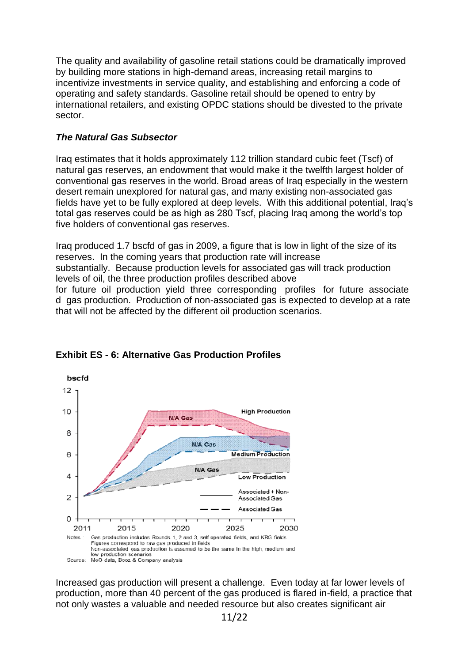The quality and availability of gasoline retail stations could be dramatically improved by building more stations in high-demand areas, increasing retail margins to incentivize investments in service quality, and establishing and enforcing a code of operating and safety standards. Gasoline retail should be opened to entry by international retailers, and existing OPDC stations should be divested to the private sector.

#### *The Natural Gas Subsector*

Iraq estimates that it holds approximately 112 trillion standard cubic feet (Tscf) of natural gas reserves, an endowment that would make it the twelfth largest holder of conventional gas reserves in the world. Broad areas of Iraq especially in the western desert remain unexplored for natural gas, and many existing non-associated gas fields have yet to be fully explored at deep levels. With this additional potential, Iraq's total gas reserves could be as high as 280 Tscf, placing Iraq among the world's top five holders of conventional gas reserves.

Iraq produced 1.7 bscfd of gas in 2009, a figure that is low in light of the size of its reserves. In the coming years that production rate will increase substantially. Because production levels for associated gas will track production levels of oil, the three production profiles described above for future oil production yield three corresponding profiles for future associate d gas production. Production of non-associated gas is expected to develop at a rate that will not be affected by the different oil production scenarios.



# **Exhibit ES - 6: Alternative Gas Production Profiles**

Increased gas production will present a challenge. Even today at far lower levels of production, more than 40 percent of the gas produced is flared in-field, a practice that not only wastes a valuable and needed resource but also creates significant air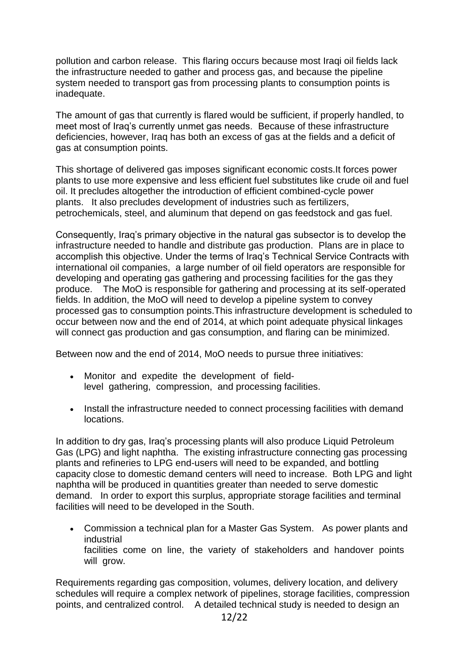pollution and carbon release. This flaring occurs because most Iraqi oil fields lack the infrastructure needed to gather and process gas, and because the pipeline system needed to transport gas from processing plants to consumption points is inadequate.

The amount of gas that currently is flared would be sufficient, if properly handled, to meet most of Iraq's currently unmet gas needs. Because of these infrastructure deficiencies, however, Iraq has both an excess of gas at the fields and a deficit of gas at consumption points.

This shortage of delivered gas imposes significant economic costs.It forces power plants to use more expensive and less efficient fuel substitutes like crude oil and fuel oil. It precludes altogether the introduction of efficient combined-cycle power plants. It also precludes development of industries such as fertilizers, petrochemicals, steel, and aluminum that depend on gas feedstock and gas fuel.

Consequently, Iraq's primary objective in the natural gas subsector is to develop the infrastructure needed to handle and distribute gas production. Plans are in place to accomplish this objective. Under the terms of Iraq's Technical Service Contracts with international oil companies, a large number of oil field operators are responsible for developing and operating gas gathering and processing facilities for the gas they produce. The MoO is responsible for gathering and processing at its self-operated fields. In addition, the MoO will need to develop a pipeline system to convey processed gas to consumption points.This infrastructure development is scheduled to occur between now and the end of 2014, at which point adequate physical linkages will connect gas production and gas consumption, and flaring can be minimized.

Between now and the end of 2014, MoO needs to pursue three initiatives:

- Monitor and expedite the development of fieldlevel gathering, compression, and processing facilities.
- Install the infrastructure needed to connect processing facilities with demand locations.

In addition to dry gas, Iraq's processing plants will also produce Liquid Petroleum Gas (LPG) and light naphtha. The existing infrastructure connecting gas processing plants and refineries to LPG end-users will need to be expanded, and bottling capacity close to domestic demand centers will need to increase. Both LPG and light naphtha will be produced in quantities greater than needed to serve domestic demand. In order to export this surplus, appropriate storage facilities and terminal facilities will need to be developed in the South.

 Commission a technical plan for a Master Gas System. As power plants and industrial facilities come on line, the variety of stakeholders and handover points will grow.

Requirements regarding gas composition, volumes, delivery location, and delivery schedules will require a complex network of pipelines, storage facilities, compression points, and centralized control. A detailed technical study is needed to design an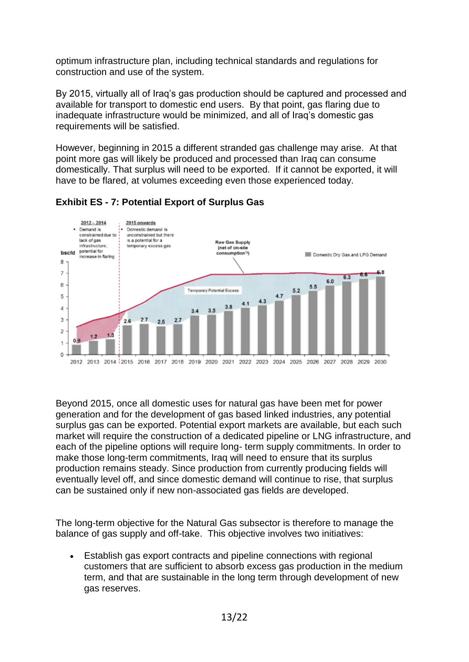optimum infrastructure plan, including technical standards and regulations for construction and use of the system.

By 2015, virtually all of Iraq's gas production should be captured and processed and available for transport to domestic end users. By that point, gas flaring due to inadequate infrastructure would be minimized, and all of Iraq's domestic gas requirements will be satisfied.

However, beginning in 2015 a different stranded gas challenge may arise. At that point more gas will likely be produced and processed than Iraq can consume domestically. That surplus will need to be exported. If it cannot be exported, it will have to be flared, at volumes exceeding even those experienced today.



# **Exhibit ES - 7: Potential Export of Surplus Gas**

Beyond 2015, once all domestic uses for natural gas have been met for power generation and for the development of gas based linked industries, any potential surplus gas can be exported. Potential export markets are available, but each such market will require the construction of a dedicated pipeline or LNG infrastructure, and each of the pipeline options will require long- term supply commitments. In order to make those long-term commitments, Iraq will need to ensure that its surplus production remains steady. Since production from currently producing fields will eventually level off, and since domestic demand will continue to rise, that surplus can be sustained only if new non-associated gas fields are developed.

The long-term objective for the Natural Gas subsector is therefore to manage the balance of gas supply and off-take. This objective involves two initiatives:

 Establish gas export contracts and pipeline connections with regional customers that are sufficient to absorb excess gas production in the medium term, and that are sustainable in the long term through development of new gas reserves.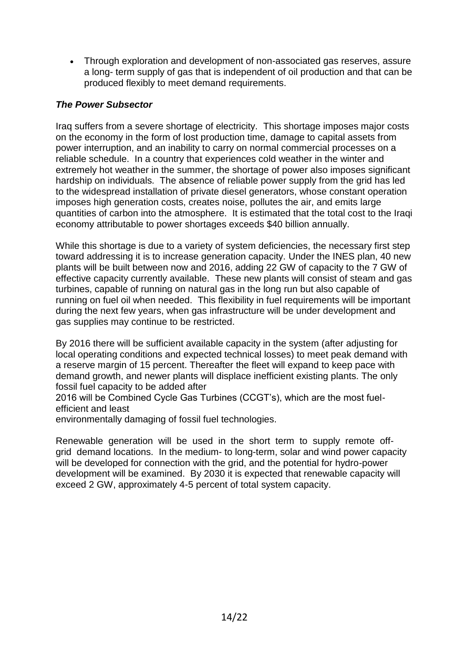• Through exploration and development of non-associated gas reserves, assure a long- term supply of gas that is independent of oil production and that can be produced flexibly to meet demand requirements.

# *The Power Subsector*

Iraq suffers from a severe shortage of electricity. This shortage imposes major costs on the economy in the form of lost production time, damage to capital assets from power interruption, and an inability to carry on normal commercial processes on a reliable schedule. In a country that experiences cold weather in the winter and extremely hot weather in the summer, the shortage of power also imposes significant hardship on individuals. The absence of reliable power supply from the grid has led to the widespread installation of private diesel generators, whose constant operation imposes high generation costs, creates noise, pollutes the air, and emits large quantities of carbon into the atmosphere. It is estimated that the total cost to the Iraqi economy attributable to power shortages exceeds \$40 billion annually.

While this shortage is due to a variety of system deficiencies, the necessary first step toward addressing it is to increase generation capacity. Under the INES plan, 40 new plants will be built between now and 2016, adding 22 GW of capacity to the 7 GW of effective capacity currently available. These new plants will consist of steam and gas turbines, capable of running on natural gas in the long run but also capable of running on fuel oil when needed. This flexibility in fuel requirements will be important during the next few years, when gas infrastructure will be under development and gas supplies may continue to be restricted.

By 2016 there will be sufficient available capacity in the system (after adjusting for local operating conditions and expected technical losses) to meet peak demand with a reserve margin of 15 percent. Thereafter the fleet will expand to keep pace with demand growth, and newer plants will displace inefficient existing plants. The only fossil fuel capacity to be added after

2016 will be Combined Cycle Gas Turbines (CCGT's), which are the most fuelefficient and least

environmentally damaging of fossil fuel technologies.

Renewable generation will be used in the short term to supply remote offgrid demand locations. In the medium- to long-term, solar and wind power capacity will be developed for connection with the grid, and the potential for hydro-power development will be examined. By 2030 it is expected that renewable capacity will exceed 2 GW, approximately 4-5 percent of total system capacity.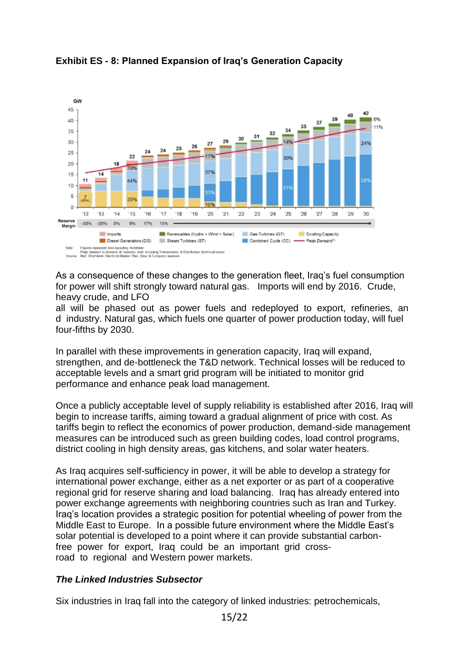

# **Exhibit ES - 8: Planned Expansion of Iraq's Generation Capacity**

As a consequence of these changes to the generation fleet, Iraq's fuel consumption for power will shift strongly toward natural gas. Imports will end by 2016. Crude, heavy crude, and LFO

all will be phased out as power fuels and redeployed to export, refineries, an d industry. Natural gas, which fuels one quarter of power production today, will fuel four-fifths by 2030.

In parallel with these improvements in generation capacity, Iraq will expand, strengthen, and de-bottleneck the T&D network. Technical losses will be reduced to acceptable levels and a smart grid program will be initiated to monitor grid performance and enhance peak load management.

Once a publicly acceptable level of supply reliability is established after 2016, Iraq will begin to increase tariffs, aiming toward a gradual alignment of price with cost. As tariffs begin to reflect the economics of power production, demand-side management measures can be introduced such as green building codes, load control programs, district cooling in high density areas, gas kitchens, and solar water heaters.

As Iraq acquires self-sufficiency in power, it will be able to develop a strategy for international power exchange, either as a net exporter or as part of a cooperative regional grid for reserve sharing and load balancing. Iraq has already entered into power exchange agreements with neighboring countries such as Iran and Turkey. Iraq's location provides a strategic position for potential wheeling of power from the Middle East to Europe. In a possible future environment where the Middle East's solar potential is developed to a point where it can provide substantial carbonfree power for export, Iraq could be an important grid crossroad to regional and Western power markets.

## *The Linked Industries Subsector*

Six industries in Iraq fall into the category of linked industries: petrochemicals,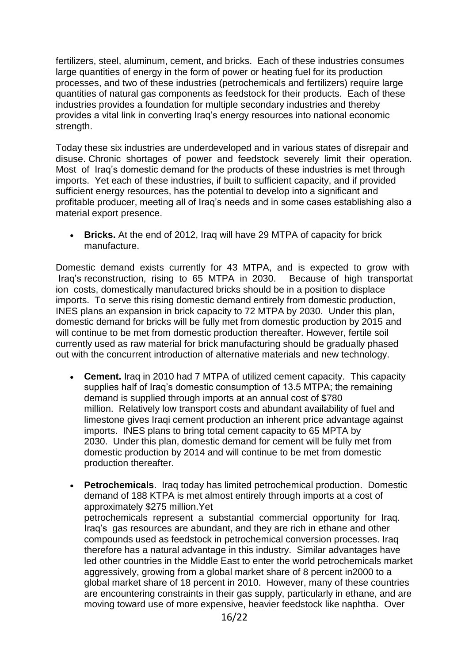fertilizers, steel, aluminum, cement, and bricks. Each of these industries consumes large quantities of energy in the form of power or heating fuel for its production processes, and two of these industries (petrochemicals and fertilizers) require large quantities of natural gas components as feedstock for their products. Each of these industries provides a foundation for multiple secondary industries and thereby provides a vital link in converting Iraq's energy resources into national economic strength.

Today these six industries are underdeveloped and in various states of disrepair and disuse. Chronic shortages of power and feedstock severely limit their operation. Most of Iraq's domestic demand for the products of these industries is met through imports. Yet each of these industries, if built to sufficient capacity, and if provided sufficient energy resources, has the potential to develop into a significant and profitable producer, meeting all of Iraq's needs and in some cases establishing also a material export presence.

 **Bricks.** At the end of 2012, Iraq will have 29 MTPA of capacity for brick manufacture.

Domestic demand exists currently for 43 MTPA, and is expected to grow with Iraq's reconstruction, rising to 65 MTPA in 2030. Because of high transportat ion costs, domestically manufactured bricks should be in a position to displace imports. To serve this rising domestic demand entirely from domestic production, INES plans an expansion in brick capacity to 72 MTPA by 2030. Under this plan, domestic demand for bricks will be fully met from domestic production by 2015 and will continue to be met from domestic production thereafter. However, fertile soil currently used as raw material for brick manufacturing should be gradually phased out with the concurrent introduction of alternative materials and new technology.

- **Cement.** Iraq in 2010 had 7 MTPA of utilized cement capacity. This capacity supplies half of Iraq's domestic consumption of 13.5 MTPA; the remaining demand is supplied through imports at an annual cost of \$780 million. Relatively low transport costs and abundant availability of fuel and limestone gives Iraqi cement production an inherent price advantage against imports. INES plans to bring total cement capacity to 65 MPTA by 2030. Under this plan, domestic demand for cement will be fully met from domestic production by 2014 and will continue to be met from domestic production thereafter.
- **Petrochemicals**. Iraq today has limited petrochemical production. Domestic demand of 188 KTPA is met almost entirely through imports at a cost of approximately \$275 million.Yet petrochemicals represent a substantial commercial opportunity for Iraq. Iraq's gas resources are abundant, and they are rich in ethane and other compounds used as feedstock in petrochemical conversion processes. Iraq therefore has a natural advantage in this industry. Similar advantages have led other countries in the Middle East to enter the world petrochemicals market aggressively, growing from a global market share of 8 percent in2000 to a global market share of 18 percent in 2010. However, many of these countries are encountering constraints in their gas supply, particularly in ethane, and are moving toward use of more expensive, heavier feedstock like naphtha. Over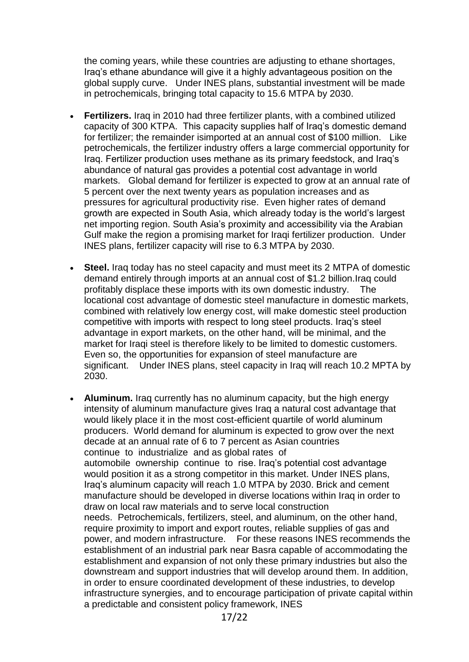the coming years, while these countries are adjusting to ethane shortages, Iraq's ethane abundance will give it a highly advantageous position on the global supply curve. Under INES plans, substantial investment will be made in petrochemicals, bringing total capacity to 15.6 MTPA by 2030.

- **Fertilizers.** Iraq in 2010 had three fertilizer plants, with a combined utilized capacity of 300 KTPA. This capacity supplies half of Iraq's domestic demand for fertilizer; the remainder isimported at an annual cost of \$100 million. Like petrochemicals, the fertilizer industry offers a large commercial opportunity for Iraq. Fertilizer production uses methane as its primary feedstock, and Iraq's abundance of natural gas provides a potential cost advantage in world markets. Global demand for fertilizer is expected to grow at an annual rate of 5 percent over the next twenty years as population increases and as pressures for agricultural productivity rise. Even higher rates of demand growth are expected in South Asia, which already today is the world's largest net importing region. South Asia's proximity and accessibility via the Arabian Gulf make the region a promising market for Iraqi fertilizer production. Under INES plans, fertilizer capacity will rise to 6.3 MTPA by 2030.
- **Steel.** Iraq today has no steel capacity and must meet its 2 MTPA of domestic demand entirely through imports at an annual cost of \$1.2 billion.Iraq could profitably displace these imports with its own domestic industry. The locational cost advantage of domestic steel manufacture in domestic markets, combined with relatively low energy cost, will make domestic steel production competitive with imports with respect to long steel products. Iraq's steel advantage in export markets, on the other hand, will be minimal, and the market for Iraqi steel is therefore likely to be limited to domestic customers. Even so, the opportunities for expansion of steel manufacture are significant. Under INES plans, steel capacity in Iraq will reach 10.2 MPTA by 2030.
- **Aluminum.** Iraq currently has no aluminum capacity, but the high energy intensity of aluminum manufacture gives Iraq a natural cost advantage that would likely place it in the most cost-efficient quartile of world aluminum producers. World demand for aluminum is expected to grow over the next decade at an annual rate of 6 to 7 percent as Asian countries continue to industrialize and as global rates of automobile ownership continue to rise. Iraq's potential cost advantage would position it as a strong competitor in this market. Under INES plans, Iraq's aluminum capacity will reach 1.0 MTPA by 2030. Brick and cement manufacture should be developed in diverse locations within Iraq in order to draw on local raw materials and to serve local construction needs. Petrochemicals, fertilizers, steel, and aluminum, on the other hand, require proximity to import and export routes, reliable supplies of gas and power, and modern infrastructure. For these reasons INES recommends the establishment of an industrial park near Basra capable of accommodating the establishment and expansion of not only these primary industries but also the downstream and support industries that will develop around them. In addition, in order to ensure coordinated development of these industries, to develop infrastructure synergies, and to encourage participation of private capital within a predictable and consistent policy framework, INES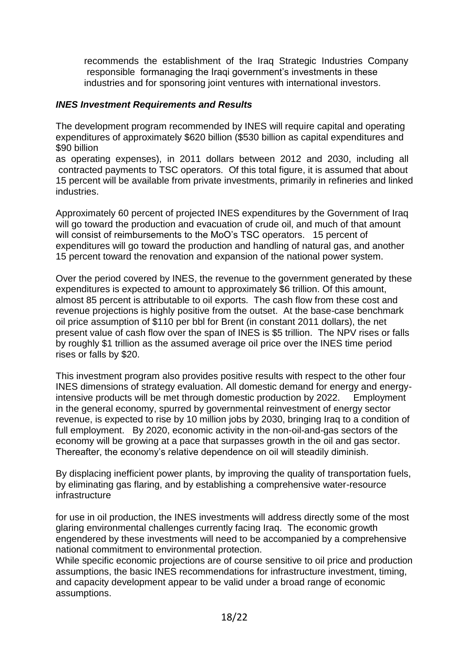recommends the establishment of the Iraq Strategic Industries Company responsible formanaging the Iraqi government's investments in these industries and for sponsoring joint ventures with international investors.

#### *INES Investment Requirements and Results*

The development program recommended by INES will require capital and operating expenditures of approximately \$620 billion (\$530 billion as capital expenditures and \$90 billion

as operating expenses), in 2011 dollars between 2012 and 2030, including all contracted payments to TSC operators. Of this total figure, it is assumed that about 15 percent will be available from private investments, primarily in refineries and linked industries.

Approximately 60 percent of projected INES expenditures by the Government of Iraq will go toward the production and evacuation of crude oil, and much of that amount will consist of reimbursements to the MoO's TSC operators. 15 percent of expenditures will go toward the production and handling of natural gas, and another 15 percent toward the renovation and expansion of the national power system.

Over the period covered by INES, the revenue to the government generated by these expenditures is expected to amount to approximately \$6 trillion. Of this amount, almost 85 percent is attributable to oil exports. The cash flow from these cost and revenue projections is highly positive from the outset. At the base-case benchmark oil price assumption of \$110 per bbl for Brent (in constant 2011 dollars), the net present value of cash flow over the span of INES is \$5 trillion. The NPV rises or falls by roughly \$1 trillion as the assumed average oil price over the INES time period rises or falls by \$20.

This investment program also provides positive results with respect to the other four INES dimensions of strategy evaluation. All domestic demand for energy and energyintensive products will be met through domestic production by 2022. Employment in the general economy, spurred by governmental reinvestment of energy sector revenue, is expected to rise by 10 million jobs by 2030, bringing Iraq to a condition of full employment. By 2020, economic activity in the non-oil-and-gas sectors of the economy will be growing at a pace that surpasses growth in the oil and gas sector. Thereafter, the economy's relative dependence on oil will steadily diminish.

By displacing inefficient power plants, by improving the quality of transportation fuels, by eliminating gas flaring, and by establishing a comprehensive water-resource infrastructure

for use in oil production, the INES investments will address directly some of the most glaring environmental challenges currently facing Iraq. The economic growth engendered by these investments will need to be accompanied by a comprehensive national commitment to environmental protection.

While specific economic projections are of course sensitive to oil price and production assumptions, the basic INES recommendations for infrastructure investment, timing, and capacity development appear to be valid under a broad range of economic assumptions.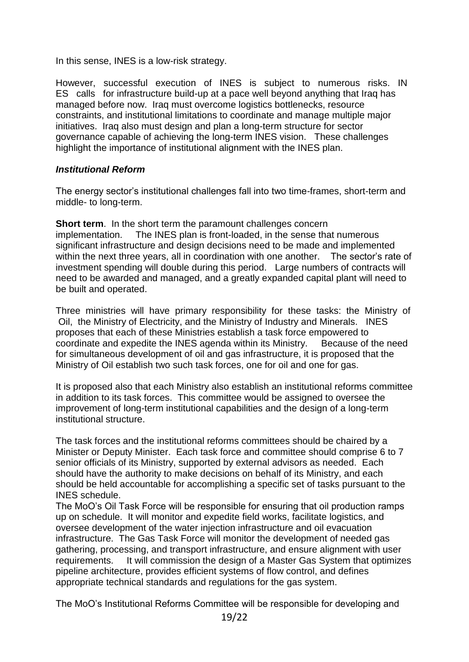In this sense, INES is a low-risk strategy.

However, successful execution of INES is subject to numerous risks. IN ES calls for infrastructure build-up at a pace well beyond anything that Iraq has managed before now. Iraq must overcome logistics bottlenecks, resource constraints, and institutional limitations to coordinate and manage multiple major initiatives. Iraq also must design and plan a long-term structure for sector governance capable of achieving the long-term INES vision. These challenges highlight the importance of institutional alignment with the INES plan.

## *Institutional Reform*

The energy sector's institutional challenges fall into two time-frames, short-term and middle- to long-term.

**Short term.** In the short term the paramount challenges concern implementation. The INES plan is front-loaded, in the sense that numerous significant infrastructure and design decisions need to be made and implemented within the next three years, all in coordination with one another. The sector's rate of investment spending will double during this period. Large numbers of contracts will need to be awarded and managed, and a greatly expanded capital plant will need to be built and operated.

Three ministries will have primary responsibility for these tasks: the Ministry of Oil, the Ministry of Electricity, and the Ministry of Industry and Minerals. INES proposes that each of these Ministries establish a task force empowered to coordinate and expedite the INES agenda within its Ministry. Because of the need for simultaneous development of oil and gas infrastructure, it is proposed that the Ministry of Oil establish two such task forces, one for oil and one for gas.

It is proposed also that each Ministry also establish an institutional reforms committee in addition to its task forces. This committee would be assigned to oversee the improvement of long-term institutional capabilities and the design of a long-term institutional structure.

The task forces and the institutional reforms committees should be chaired by a Minister or Deputy Minister. Each task force and committee should comprise 6 to 7 senior officials of its Ministry, supported by external advisors as needed. Each should have the authority to make decisions on behalf of its Ministry, and each should be held accountable for accomplishing a specific set of tasks pursuant to the INES schedule.

The MoO's Oil Task Force will be responsible for ensuring that oil production ramps up on schedule. It will monitor and expedite field works, facilitate logistics, and oversee development of the water injection infrastructure and oil evacuation infrastructure. The Gas Task Force will monitor the development of needed gas gathering, processing, and transport infrastructure, and ensure alignment with user requirements. It will commission the design of a Master Gas System that optimizes pipeline architecture, provides efficient systems of flow control, and defines appropriate technical standards and regulations for the gas system.

The MoO's Institutional Reforms Committee will be responsible for developing and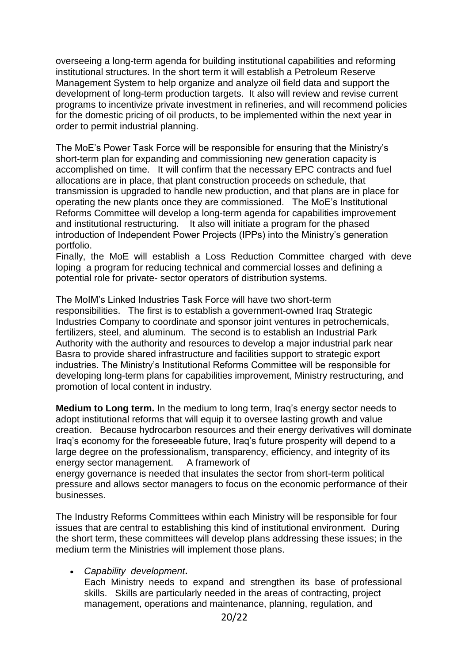overseeing a long-term agenda for building institutional capabilities and reforming institutional structures. In the short term it will establish a Petroleum Reserve Management System to help organize and analyze oil field data and support the development of long-term production targets. It also will review and revise current programs to incentivize private investment in refineries, and will recommend policies for the domestic pricing of oil products, to be implemented within the next year in order to permit industrial planning.

The MoE's Power Task Force will be responsible for ensuring that the Ministry's short-term plan for expanding and commissioning new generation capacity is accomplished on time. It will confirm that the necessary EPC contracts and fuel allocations are in place, that plant construction proceeds on schedule, that transmission is upgraded to handle new production, and that plans are in place for operating the new plants once they are commissioned. The MoE's Institutional Reforms Committee will develop a long-term agenda for capabilities improvement and institutional restructuring. It also will initiate a program for the phased introduction of Independent Power Projects (IPPs) into the Ministry's generation portfolio.

Finally, the MoE will establish a Loss Reduction Committee charged with deve loping a program for reducing technical and commercial losses and defining a potential role for private- sector operators of distribution systems.

The MoIM's Linked Industries Task Force will have two short-term responsibilities. The first is to establish a government-owned Iraq Strategic Industries Company to coordinate and sponsor joint ventures in petrochemicals, fertilizers, steel, and aluminum. The second is to establish an Industrial Park Authority with the authority and resources to develop a major industrial park near Basra to provide shared infrastructure and facilities support to strategic export industries. The Ministry's Institutional Reforms Committee will be responsible for developing long-term plans for capabilities improvement, Ministry restructuring, and promotion of local content in industry.

**Medium to Long term.** In the medium to long term, Iraq's energy sector needs to adopt institutional reforms that will equip it to oversee lasting growth and value creation. Because hydrocarbon resources and their energy derivatives will dominate Iraq's economy for the foreseeable future, Iraq's future prosperity will depend to a large degree on the professionalism, transparency, efficiency, and integrity of its energy sector management. A framework of energy governance is needed that insulates the sector from short-term political

pressure and allows sector managers to focus on the economic performance of their businesses.

The Industry Reforms Committees within each Ministry will be responsible for four issues that are central to establishing this kind of institutional environment. During the short term, these committees will develop plans addressing these issues; in the medium term the Ministries will implement those plans.

#### *Capability development***.**

Each Ministry needs to expand and strengthen its base of professional skills. Skills are particularly needed in the areas of contracting, project management, operations and maintenance, planning, regulation, and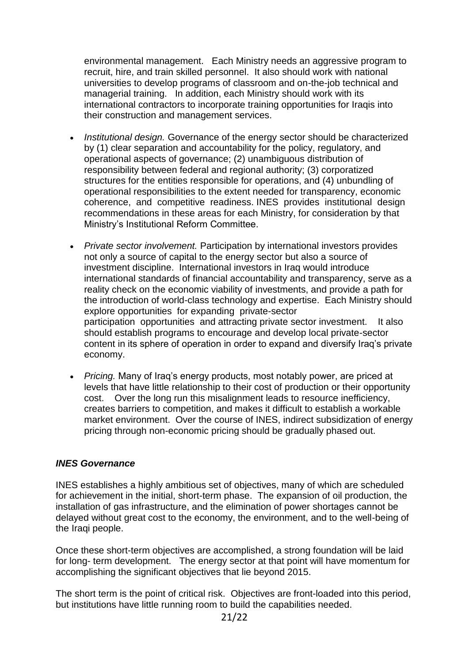environmental management. Each Ministry needs an aggressive program to recruit, hire, and train skilled personnel. It also should work with national universities to develop programs of classroom and on-the-job technical and managerial training. In addition, each Ministry should work with its international contractors to incorporate training opportunities for Iraqis into their construction and management services.

- *Institutional design.* Governance of the energy sector should be characterized by (1) clear separation and accountability for the policy, regulatory, and operational aspects of governance; (2) unambiguous distribution of responsibility between federal and regional authority; (3) corporatized structures for the entities responsible for operations, and (4) unbundling of operational responsibilities to the extent needed for transparency, economic coherence, and competitive readiness. INES provides institutional design recommendations in these areas for each Ministry, for consideration by that Ministry's Institutional Reform Committee.
- *Private sector involvement.* Participation by international investors provides not only a source of capital to the energy sector but also a source of investment discipline. International investors in Iraq would introduce international standards of financial accountability and transparency, serve as a reality check on the economic viability of investments, and provide a path for the introduction of world-class technology and expertise. Each Ministry should explore opportunities for expanding private-sector participation opportunities and attracting private sector investment. It also should establish programs to encourage and develop local private-sector content in its sphere of operation in order to expand and diversify Iraq's private economy.
- *Pricing.* Many of Iraq's energy products, most notably power, are priced at levels that have little relationship to their cost of production or their opportunity cost. Over the long run this misalignment leads to resource inefficiency, creates barriers to competition, and makes it difficult to establish a workable market environment. Over the course of INES, indirect subsidization of energy pricing through non-economic pricing should be gradually phased out.

#### *INES Governance*

INES establishes a highly ambitious set of objectives, many of which are scheduled for achievement in the initial, short-term phase. The expansion of oil production, the installation of gas infrastructure, and the elimination of power shortages cannot be delayed without great cost to the economy, the environment, and to the well-being of the Iraqi people.

Once these short-term objectives are accomplished, a strong foundation will be laid for long- term development. The energy sector at that point will have momentum for accomplishing the significant objectives that lie beyond 2015.

The short term is the point of critical risk. Objectives are front-loaded into this period, but institutions have little running room to build the capabilities needed.